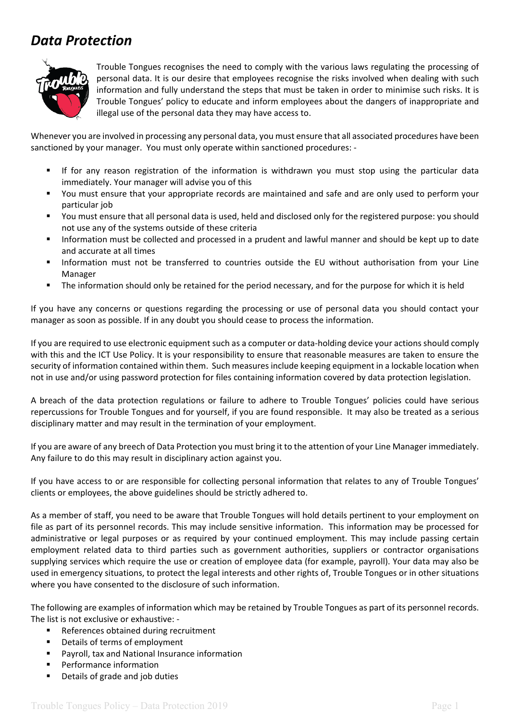## *Data Protection*



Trouble Tongues recognises the need to comply with the various laws regulating the processing of personal data. It is our desire that employees recognise the risks involved when dealing with such information and fully understand the steps that must be taken in order to minimise such risks. It is Trouble Tongues' policy to educate and inform employees about the dangers of inappropriate and illegal use of the personal data they may have access to.

Whenever you are involved in processing any personal data, you must ensure that all associated procedures have been sanctioned by your manager. You must only operate within sanctioned procedures: -

- If for any reason registration of the information is withdrawn you must stop using the particular data immediately. Your manager will advise you of this
- You must ensure that your appropriate records are maintained and safe and are only used to perform your particular job
- You must ensure that all personal data is used, held and disclosed only for the registered purpose: you should not use any of the systems outside of these criteria
- Information must be collected and processed in a prudent and lawful manner and should be kept up to date and accurate at all times
- Information must not be transferred to countries outside the EU without authorisation from your Line Manager
- The information should only be retained for the period necessary, and for the purpose for which it is held

If you have any concerns or questions regarding the processing or use of personal data you should contact your manager as soon as possible. If in any doubt you should cease to process the information.

If you are required to use electronic equipment such as a computer or data-holding device your actions should comply with this and the ICT Use Policy. It is your responsibility to ensure that reasonable measures are taken to ensure the security of information contained within them. Such measures include keeping equipment in a lockable location when not in use and/or using password protection for files containing information covered by data protection legislation.

A breach of the data protection regulations or failure to adhere to Trouble Tongues' policies could have serious repercussions for Trouble Tongues and for yourself, if you are found responsible. It may also be treated as a serious disciplinary matter and may result in the termination of your employment.

If you are aware of any breech of Data Protection you must bring it to the attention of your Line Manager immediately. Any failure to do this may result in disciplinary action against you.

If you have access to or are responsible for collecting personal information that relates to any of Trouble Tongues' clients or employees, the above guidelines should be strictly adhered to.

As a member of staff, you need to be aware that Trouble Tongues will hold details pertinent to your employment on file as part of its personnel records. This may include sensitive information. This information may be processed for administrative or legal purposes or as required by your continued employment. This may include passing certain employment related data to third parties such as government authorities, suppliers or contractor organisations supplying services which require the use or creation of employee data (for example, payroll). Your data may also be used in emergency situations, to protect the legal interests and other rights of, Trouble Tongues or in other situations where you have consented to the disclosure of such information.

The following are examples of information which may be retained by Trouble Tongues as part of its personnel records. The list is not exclusive or exhaustive: -

- References obtained during recruitment
- Details of terms of employment
- Payroll, tax and National Insurance information
- **Performance information**
- Details of grade and job duties